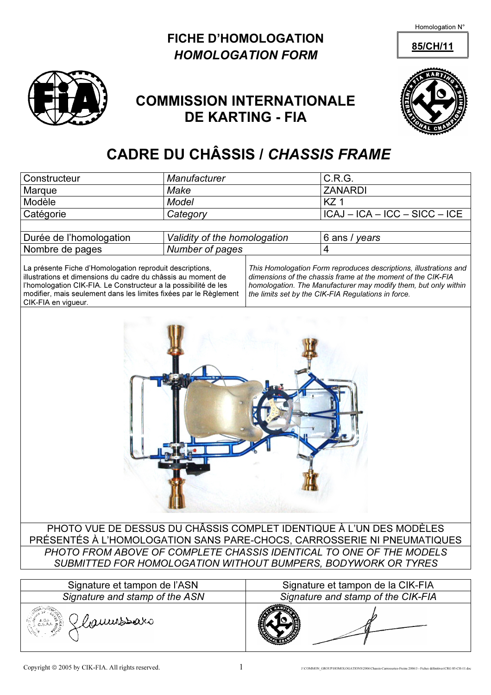Homologation N°

## FICHE D'HOMOLOGATION 85/CH/11 HOMOLOGATION FORM



## COMMISSION INTERNATIONALE DE KARTING - FIA



## CADRE DU CHÂSSIS / CHASSIS FRAME

| Constructeur                                                                                                                                                                                                                                                                            | Manufacturer                 |                                                                                                                                                                                                                                                             | C.R.G.                                     |  |  |  |  |
|-----------------------------------------------------------------------------------------------------------------------------------------------------------------------------------------------------------------------------------------------------------------------------------------|------------------------------|-------------------------------------------------------------------------------------------------------------------------------------------------------------------------------------------------------------------------------------------------------------|--------------------------------------------|--|--|--|--|
| Marque                                                                                                                                                                                                                                                                                  | Make                         |                                                                                                                                                                                                                                                             | <b>ZANARDI</b>                             |  |  |  |  |
| Modèle                                                                                                                                                                                                                                                                                  | Model                        |                                                                                                                                                                                                                                                             | KZ <sub>1</sub>                            |  |  |  |  |
| Catégorie                                                                                                                                                                                                                                                                               | Category                     |                                                                                                                                                                                                                                                             | $\overline{ICAJ} - ICA - ICC - SICC - ICE$ |  |  |  |  |
|                                                                                                                                                                                                                                                                                         |                              |                                                                                                                                                                                                                                                             |                                            |  |  |  |  |
| Durée de l'homologation                                                                                                                                                                                                                                                                 | Validity of the homologation |                                                                                                                                                                                                                                                             | 6 ans / years                              |  |  |  |  |
| Nombre de pages                                                                                                                                                                                                                                                                         | Number of pages              |                                                                                                                                                                                                                                                             | $\overline{4}$                             |  |  |  |  |
| La présente Fiche d'Homologation reproduit descriptions,<br>illustrations et dimensions du cadre du châssis au moment de<br>l'homologation CIK-FIA. Le Constructeur a la possibilité de les<br>modifier, mais seulement dans les limites fixées par le Règlement<br>CIK-FIA en vigueur. |                              | This Homologation Form reproduces descriptions, illustrations and<br>dimensions of the chassis frame at the moment of the CIK-FIA<br>homologation. The Manufacturer may modify them, but only within<br>the limits set by the CIK-FIA Regulations in force. |                                            |  |  |  |  |
| PHOTO VUE DE DESSUS DU CHÂSSIS COMPLET IDENTIQUE À L'UN DES MODÈLES                                                                                                                                                                                                                     |                              |                                                                                                                                                                                                                                                             |                                            |  |  |  |  |
| PRÉSENTÉS À L'HOMOLOGATION SANS PARE-CHOCS, CARROSSERIE NI PNEUMATIQUES                                                                                                                                                                                                                 |                              |                                                                                                                                                                                                                                                             |                                            |  |  |  |  |
| PHOTO FROM ABOVE OF COMPLETE CHASSIS IDENTICAL TO ONE OF THE MODELS                                                                                                                                                                                                                     |                              |                                                                                                                                                                                                                                                             |                                            |  |  |  |  |
| SUBMITTED FOR HOMOLOGATION WITHOUT BUMPERS, BODYWORK OR TYRES                                                                                                                                                                                                                           |                              |                                                                                                                                                                                                                                                             |                                            |  |  |  |  |
|                                                                                                                                                                                                                                                                                         |                              |                                                                                                                                                                                                                                                             |                                            |  |  |  |  |
| Signature et tampon de l'ASN                                                                                                                                                                                                                                                            |                              |                                                                                                                                                                                                                                                             | Signature et tampon de la CIK-FIA          |  |  |  |  |

| Signature et tampon de l'ASN            | Signature et tampon de la CIK-FIA  |
|-----------------------------------------|------------------------------------|
| Signature and stamp of the ASN          | Signature and stamp of the CIK-FIA |
| Gaumsbaro<br>بيع A.C.I.<br>ج C.S.A.I. و |                                    |

 $\frac{\partial}{\partial t}$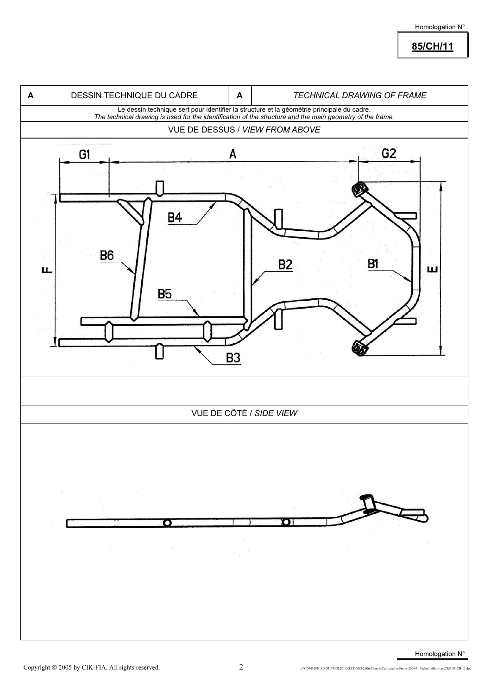85/CH/11

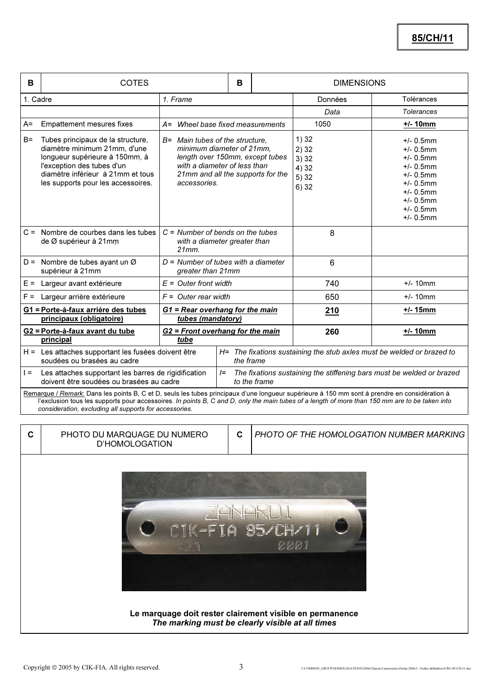| B        | <b>COTES</b>                                                                                                                                                                                                                                                                                    |                                                                                                                                                                                      | B |                                                                                                | <b>DIMENSIONS</b>                             |                                                                                                                                                              |  |  |
|----------|-------------------------------------------------------------------------------------------------------------------------------------------------------------------------------------------------------------------------------------------------------------------------------------------------|--------------------------------------------------------------------------------------------------------------------------------------------------------------------------------------|---|------------------------------------------------------------------------------------------------|-----------------------------------------------|--------------------------------------------------------------------------------------------------------------------------------------------------------------|--|--|
| 1. Cadre |                                                                                                                                                                                                                                                                                                 | 1. Frame                                                                                                                                                                             |   | Données                                                                                        | Tolérances                                    |                                                                                                                                                              |  |  |
|          |                                                                                                                                                                                                                                                                                                 |                                                                                                                                                                                      |   | Data                                                                                           | <b>Tolerances</b>                             |                                                                                                                                                              |  |  |
| $A =$    | <b>Empattement mesures fixes</b>                                                                                                                                                                                                                                                                | A= Wheel base fixed measurements                                                                                                                                                     |   | 1050                                                                                           | $+/- 10mm$                                    |                                                                                                                                                              |  |  |
| $B=$     | Tubes principaux de la structure,<br>diamètre minimum 21mm, d'une<br>longueur supérieure à 150mm, à<br>l'exception des tubes d'un<br>diamètre inférieur à 21mm et tous<br>les supports pour les accessoires.                                                                                    | B= Main tubes of the structure.<br>minimum diameter of 21mm,<br>length over 150mm, except tubes<br>with a diameter of less than<br>21mm and all the supports for the<br>accessories. |   |                                                                                                | 1)32<br>2)32<br>3)32<br>4) 32<br>5)32<br>6)32 | $+/- 0.5$ mm<br>$+/- 0.5$ mm<br>$+/- 0.5$ mm<br>$+/- 0.5$ mm<br>$+/- 0.5$ mm<br>$+/- 0.5$ mm<br>$+/- 0.5$ mm<br>$+/- 0.5$ mm<br>$+/- 0.5$ mm<br>$+/- 0.5$ mm |  |  |
|          | $C =$ Nombre de courbes dans les tubes<br>de Ø supérieur à 21mm                                                                                                                                                                                                                                 | $C =$ Number of bends on the tubes<br>with a diameter greater than<br>21mm                                                                                                           |   |                                                                                                | 8                                             |                                                                                                                                                              |  |  |
|          | D = Nombre de tubes ayant un $\varnothing$<br>supérieur à 21mm                                                                                                                                                                                                                                  | $D =$ Number of tubes with a diameter<br>greater than 21mm                                                                                                                           |   |                                                                                                | $6\phantom{1}$                                |                                                                                                                                                              |  |  |
|          | $E =$ Largeur avant extérieure                                                                                                                                                                                                                                                                  | $E =$ Outer front width                                                                                                                                                              |   |                                                                                                | 740                                           | $+/- 10$ mm                                                                                                                                                  |  |  |
| $F =$    | Largeur arrière extérieure                                                                                                                                                                                                                                                                      | $F =$ Outer rear width                                                                                                                                                               |   |                                                                                                | 650                                           | $+/- 10$ mm                                                                                                                                                  |  |  |
|          | G1 = Porte-à-faux arriére des tubes<br>principaux (obligatoire)                                                                                                                                                                                                                                 | G1 = Rear overhang for the main<br>tubes (mandatory)                                                                                                                                 |   | 210                                                                                            | $+/- 15$ mm                                   |                                                                                                                                                              |  |  |
|          | G2 = Porte-à-faux avant du tube<br>principal                                                                                                                                                                                                                                                    | G2 = Front overhang for the main<br>tube                                                                                                                                             |   |                                                                                                | 260                                           | $+/- 10mm$                                                                                                                                                   |  |  |
|          | H = Les attaches supportant les fusées doivent être<br>soudées ou brasées au cadre                                                                                                                                                                                                              |                                                                                                                                                                                      |   | H= The fixations sustaining the stub axles must be welded or brazed to<br>the frame            |                                               |                                                                                                                                                              |  |  |
| $=$      | Les attaches supportant les barres de rigidification<br>doivent être soudées ou brasées au cadre                                                                                                                                                                                                |                                                                                                                                                                                      |   | The fixations sustaining the stiffening bars must be welded or brazed<br>$l =$<br>to the frame |                                               |                                                                                                                                                              |  |  |
|          | Remarque / Remark: Dans les points B, C et D, seuls les tubes principaux d'une longueur supérieure à 150 mm sont à prendre en considération à<br>l'exclusion tous les supports pour accessoires. In points B, C and D, only the main tubes of a length of more than 150 mm are to be taken into |                                                                                                                                                                                      |   |                                                                                                |                                               |                                                                                                                                                              |  |  |

consideration, excluding all supports for accessories.

C | PHOTO DU MARQUAGE DU NUMERO D'HOMOLOGATION

C | PHOTO OF THE HOMOLOGATION NUMBER MARKING



Le marquage doit rester clairement visible en permanence The marking must be clearly visible at all times